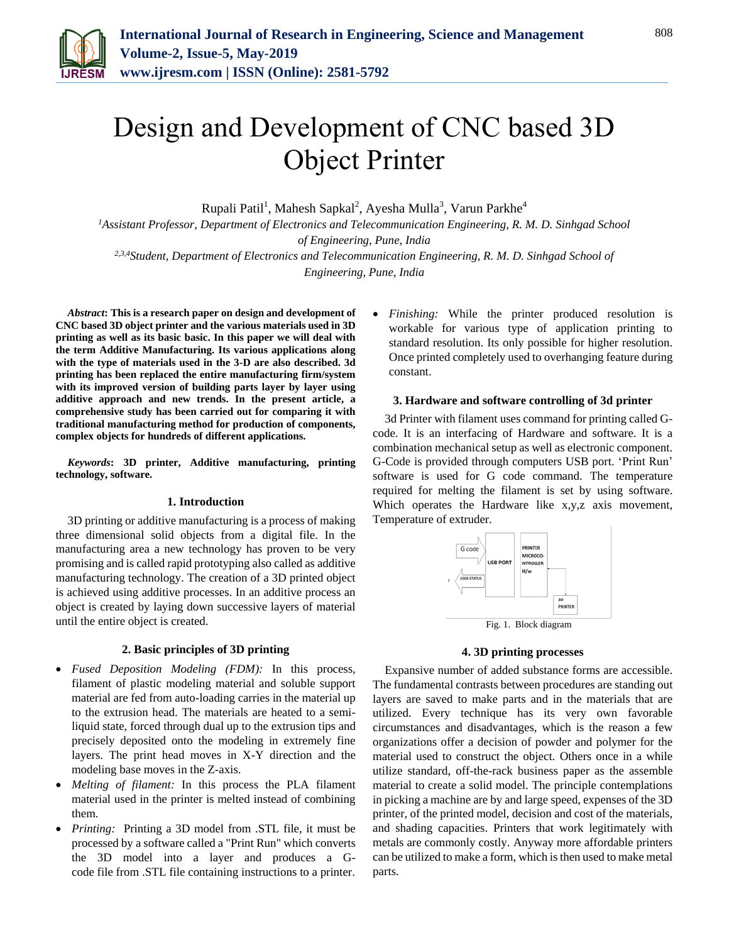

# Design and Development of CNC based 3D Object Printer

Rupali Patil<sup>1</sup>, Mahesh Sapkal<sup>2</sup>, Ayesha Mulla<sup>3</sup>, Varun Parkhe<sup>4</sup>

*<sup>1</sup>Assistant Professor, Department of Electronics and Telecommunication Engineering, R. M. D. Sinhgad School of Engineering, Pune, India 2,3,4Student, Department of Electronics and Telecommunication Engineering, R. M. D. Sinhgad School of* 

*Engineering, Pune, India*

*Abstract***: This is a research paper on design and development of CNC based 3D object printer and the various materials used in 3D printing as well as its basic basic. In this paper we will deal with the term Additive Manufacturing. Its various applications along with the type of materials used in the 3-D are also described. 3d printing has been replaced the entire manufacturing firm/system with its improved version of building parts layer by layer using additive approach and new trends. In the present article, a comprehensive study has been carried out for comparing it with traditional manufacturing method for production of components, complex objects for hundreds of different applications.**

*Keywords***: 3D printer, Additive manufacturing, printing technology, software.**

#### **1. Introduction**

3D printing or additive manufacturing is a process of making three dimensional solid objects from a digital file. In the manufacturing area a new technology has proven to be very promising and is called rapid prototyping also called as additive manufacturing technology. The creation of a 3D printed object is achieved using additive processes. In an additive process an object is created by laying down successive layers of material until the entire object is created.

#### **2. Basic principles of 3D printing**

- *Fused Deposition Modeling (FDM):* In this process, filament of plastic modeling material and soluble support material are fed from auto-loading carries in the material up to the extrusion head. The materials are heated to a semiliquid state, forced through dual up to the extrusion tips and precisely deposited onto the modeling in extremely fine layers. The print head moves in X-Y direction and the modeling base moves in the Z-axis.
- *Melting of filament:* In this process the PLA filament material used in the printer is melted instead of combining them.
- *Printing:* Printing a 3D model from .STL file, it must be processed by a software called a "Print Run" which converts the 3D model into a layer and produces a Gcode file from .STL file containing instructions to a printer.

 *Finishing:* While the printer produced resolution is workable for various type of application printing to standard resolution. Its only possible for higher resolution. Once printed completely used to overhanging feature during constant.

#### **3. Hardware and software controlling of 3d printer**

3d Printer with filament uses command for printing called Gcode. It is an interfacing of Hardware and software. It is a combination mechanical setup as well as electronic component. G-Code is provided through computers USB port. 'Print Run' software is used for G code command. The temperature required for melting the filament is set by using software. Which operates the Hardware like x,y,z axis movement, Temperature of extruder.



## **4. 3D printing processes**

Expansive number of added substance forms are accessible. The fundamental contrasts between procedures are standing out layers are saved to make parts and in the materials that are utilized. Every technique has its very own favorable circumstances and disadvantages, which is the reason a few organizations offer a decision of powder and polymer for the material used to construct the object. Others once in a while utilize standard, off-the-rack business paper as the assemble material to create a solid model. The principle contemplations in picking a machine are by and large speed, expenses of the 3D printer, of the printed model, decision and cost of the materials, and shading capacities. Printers that work legitimately with metals are commonly costly. Anyway more affordable printers can be utilized to make a form, which is then used to make metal parts.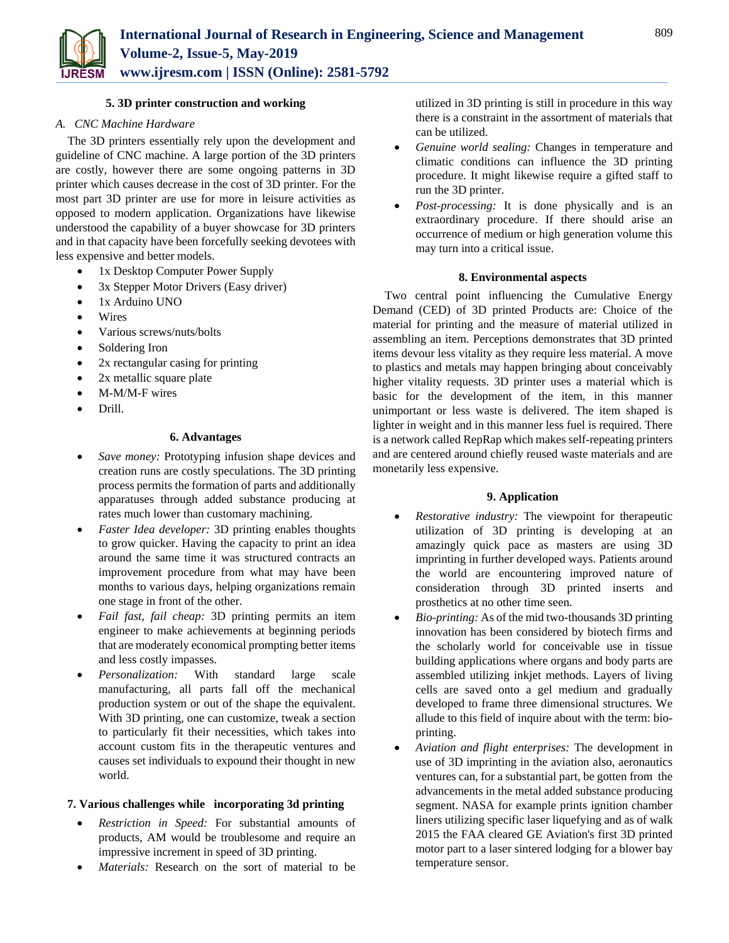

# **5. 3D printer construction and working**

## *A. CNC Machine Hardware*

The 3D printers essentially rely upon the development and guideline of CNC machine. A large portion of the 3D printers are costly, however there are some ongoing patterns in 3D printer which causes decrease in the cost of 3D printer. For the most part 3D printer are use for more in leisure activities as opposed to modern application. Organizations have likewise understood the capability of a buyer showcase for 3D printers and in that capacity have been forcefully seeking devotees with less expensive and better models.

- 1x Desktop Computer Power Supply
- 3x Stepper Motor Drivers (Easy driver)
- 1x Arduino UNO
- Wires
- Various screws/nuts/bolts
- Soldering Iron
- 2x rectangular casing for printing
- 2x metallic square plate
- M-M/M-F wires
- Drill.

## **6. Advantages**

- *Save money:* Prototyping infusion shape devices and creation runs are costly speculations. The 3D printing process permits the formation of parts and additionally apparatuses through added substance producing at rates much lower than customary machining.
- *Faster Idea developer:* 3D printing enables thoughts to grow quicker. Having the capacity to print an idea around the same time it was structured contracts an improvement procedure from what may have been months to various days, helping organizations remain one stage in front of the other.
- *Fail fast, fail cheap:* 3D printing permits an item engineer to make achievements at beginning periods that are moderately economical prompting better items and less costly impasses.
- *Personalization:* With standard large scale manufacturing, all parts fall off the mechanical production system or out of the shape the equivalent. With 3D printing, one can customize, tweak a section to particularly fit their necessities, which takes into account custom fits in the therapeutic ventures and causes set individuals to expound their thought in new world.

## **7. Various challenges while incorporating 3d printing**

- *Restriction in Speed:* For substantial amounts of products, AM would be troublesome and require an impressive increment in speed of 3D printing.
- *Materials:* Research on the sort of material to be

utilized in 3D printing is still in procedure in this way there is a constraint in the assortment of materials that can be utilized.

- *Genuine world sealing:* Changes in temperature and climatic conditions can influence the 3D printing procedure. It might likewise require a gifted staff to run the 3D printer.
- *Post-processing:* It is done physically and is an extraordinary procedure. If there should arise an occurrence of medium or high generation volume this may turn into a critical issue.

#### **8. Environmental aspects**

Two central point influencing the Cumulative Energy Demand (CED) of 3D printed Products are: Choice of the material for printing and the measure of material utilized in assembling an item. Perceptions demonstrates that 3D printed items devour less vitality as they require less material. A move to plastics and metals may happen bringing about conceivably higher vitality requests. 3D printer uses a material which is basic for the development of the item, in this manner unimportant or less waste is delivered. The item shaped is lighter in weight and in this manner less fuel is required. There is a network called RepRap which makes self-repeating printers and are centered around chiefly reused waste materials and are monetarily less expensive.

## **9. Application**

- *Restorative industry:* The viewpoint for therapeutic utilization of 3D printing is developing at an amazingly quick pace as masters are using 3D imprinting in further developed ways. Patients around the world are encountering improved nature of consideration through 3D printed inserts and prosthetics at no other time seen.
- *Bio-printing:* As of the mid two-thousands 3D printing innovation has been considered by biotech firms and the scholarly world for conceivable use in tissue building applications where organs and body parts are assembled utilizing inkjet methods. Layers of living cells are saved onto a gel medium and gradually developed to frame three dimensional structures. We allude to this field of inquire about with the term: bioprinting.
- *Aviation and flight enterprises:* The development in use of 3D imprinting in the aviation also, aeronautics ventures can, for a substantial part, be gotten from the advancements in the metal added substance producing segment. NASA for example prints ignition chamber liners utilizing specific laser liquefying and as of walk 2015 the FAA cleared GE Aviation's first 3D printed motor part to a laser sintered lodging for a blower bay temperature sensor.